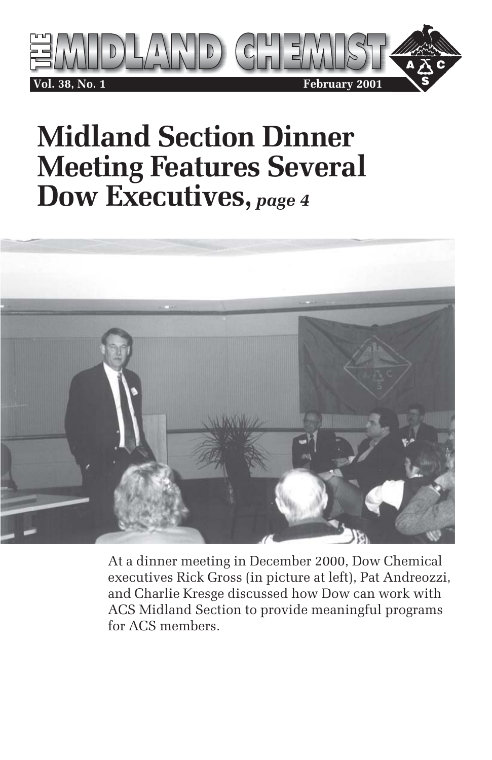

# **Midland Section Dinner Meeting Features Several Dow Executives,** *page 4*



At a dinner meeting in December 2000, Dow Chemical executives Rick Gross (in picture at left), Pat Andreozzi, and Charlie Kresge discussed how Dow can work with ACS Midland Section to provide meaningful programs for ACS members.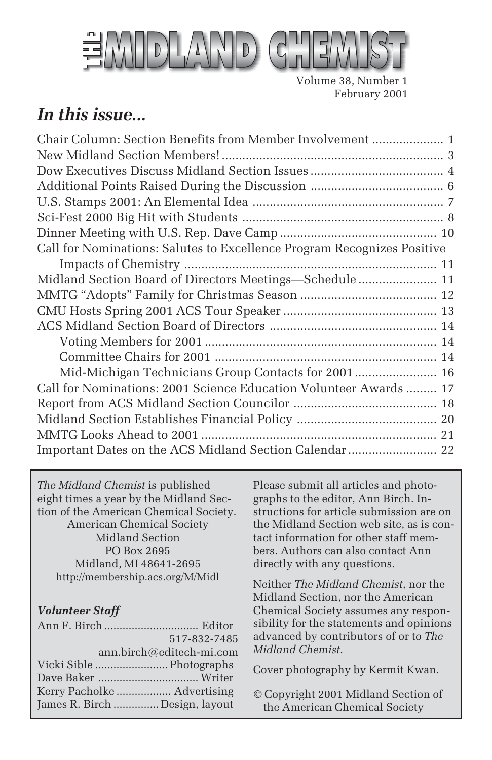

Volume 38, Number 1 February 2001

### *In this issue...*

*The Midland Chemist* is published eight times a year by the Midland Section of the American Chemical Society. American Chemical Society Midland Section PO Box 2695 Midland, MI 48641-2695 http://membership.acs.org/M/Midl

#### *Volunteer Staff*

|                                | 517-832-7485             |
|--------------------------------|--------------------------|
|                                | ann.birch@editech-mi.com |
|                                |                          |
|                                |                          |
|                                |                          |
| James R. Birch  Design, layout |                          |
|                                |                          |

Please submit all articles and photographs to the editor, Ann Birch. Instructions for article submission are on the Midland Section web site, as is contact information for other staff members. Authors can also contact Ann directly with any questions.

Neither *The Midland Chemist*, nor the Midland Section, nor the American Chemical Society assumes any responsibility for the statements and opinions advanced by contributors of or to *The Midland Chemist*.

Cover photography by Kermit Kwan.

© Copyright 2001 Midland Section of the American Chemical Society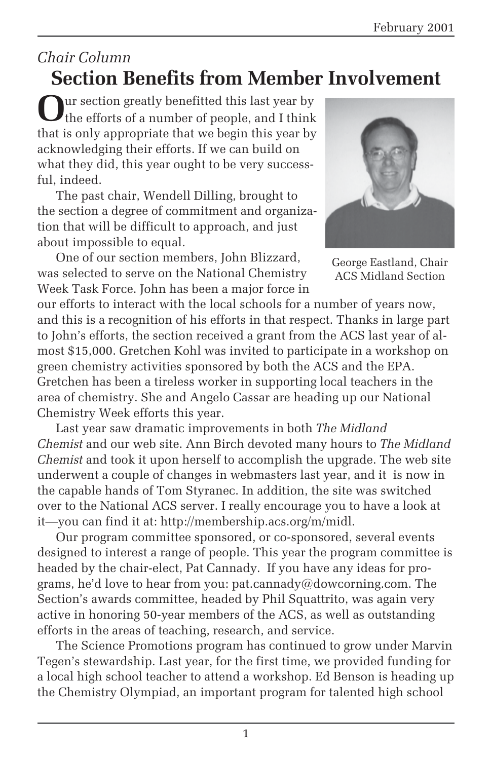### *Chair Column* **Section Benefits from Member Involvement**

**O**ur section greatly benefitted this last year by the efforts of a number of people, and I think that is only appropriate that we begin this year by acknowledging their efforts. If we can build on what they did, this year ought to be very successful, indeed.

The past chair, Wendell Dilling, brought to the section a degree of commitment and organization that will be difficult to approach, and just about impossible to equal.

One of our section members, John Blizzard, was selected to serve on the National Chemistry Week Task Force. John has been a major force in



George Eastland, Chair ACS Midland Section

our efforts to interact with the local schools for a number of years now, and this is a recognition of his efforts in that respect. Thanks in large part to John's efforts, the section received a grant from the ACS last year of almost \$15,000. Gretchen Kohl was invited to participate in a workshop on green chemistry activities sponsored by both the ACS and the EPA. Gretchen has been a tireless worker in supporting local teachers in the area of chemistry. She and Angelo Cassar are heading up our National Chemistry Week efforts this year.

Last year saw dramatic improvements in both *The Midland Chemist* and our web site. Ann Birch devoted many hours to *The Midland Chemist* and took it upon herself to accomplish the upgrade. The web site underwent a couple of changes in webmasters last year, and it is now in the capable hands of Tom Styranec. In addition, the site was switched over to the National ACS server. I really encourage you to have a look at it—you can find it at: http://membership.acs.org/m/midl.

Our program committee sponsored, or co-sponsored, several events designed to interest a range of people. This year the program committee is headed by the chair-elect, Pat Cannady. If you have any ideas for programs, he'd love to hear from you: pat.cannady@dowcorning.com. The Section's awards committee, headed by Phil Squattrito, was again very active in honoring 50-year members of the ACS, as well as outstanding efforts in the areas of teaching, research, and service.

The Science Promotions program has continued to grow under Marvin Tegen's stewardship. Last year, for the first time, we provided funding for a local high school teacher to attend a workshop. Ed Benson is heading up the Chemistry Olympiad, an important program for talented high school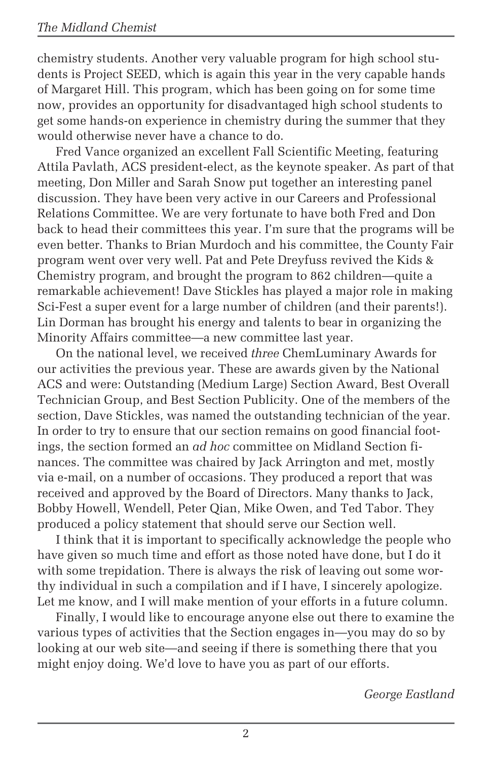chemistry students. Another very valuable program for high school students is Project SEED, which is again this year in the very capable hands of Margaret Hill. This program, which has been going on for some time now, provides an opportunity for disadvantaged high school students to get some hands-on experience in chemistry during the summer that they would otherwise never have a chance to do.

Fred Vance organized an excellent Fall Scientific Meeting, featuring Attila Pavlath, ACS president-elect, as the keynote speaker. As part of that meeting, Don Miller and Sarah Snow put together an interesting panel discussion. They have been very active in our Careers and Professional Relations Committee. We are very fortunate to have both Fred and Don back to head their committees this year. I'm sure that the programs will be even better. Thanks to Brian Murdoch and his committee, the County Fair program went over very well. Pat and Pete Dreyfuss revived the Kids & Chemistry program, and brought the program to 862 children—quite a remarkable achievement! Dave Stickles has played a major role in making Sci-Fest a super event for a large number of children (and their parents!). Lin Dorman has brought his energy and talents to bear in organizing the Minority Affairs committee—a new committee last year.

On the national level, we received *three* ChemLuminary Awards for our activities the previous year. These are awards given by the National ACS and were: Outstanding (Medium Large) Section Award, Best Overall Technician Group, and Best Section Publicity. One of the members of the section, Dave Stickles, was named the outstanding technician of the year. In order to try to ensure that our section remains on good financial footings, the section formed an *ad hoc* committee on Midland Section finances. The committee was chaired by Jack Arrington and met, mostly via e-mail, on a number of occasions. They produced a report that was received and approved by the Board of Directors. Many thanks to Jack, Bobby Howell, Wendell, Peter Qian, Mike Owen, and Ted Tabor. They produced a policy statement that should serve our Section well.

I think that it is important to specifically acknowledge the people who have given so much time and effort as those noted have done, but I do it with some trepidation. There is always the risk of leaving out some worthy individual in such a compilation and if I have, I sincerely apologize. Let me know, and I will make mention of your efforts in a future column.

Finally, I would like to encourage anyone else out there to examine the various types of activities that the Section engages in—you may do so by looking at our web site—and seeing if there is something there that you might enjoy doing. We'd love to have you as part of our efforts.

*George Eastland*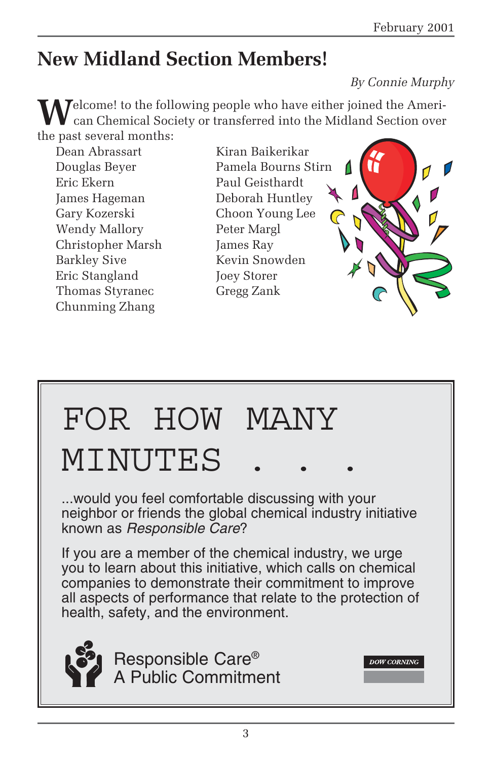# **New Midland Section Members!**

### *By Connie Murphy*

**DOW CORNING** 

**T**elcome! to the following people who have either joined the American Chemical Society or transferred into the Midland Section over the past several months:

Dean Abrassart Kiran Baikerikar Eric Ekern Paul Geisthardt James Hageman Deborah Huntley Gary Kozerski Choon Young Lee Wendy Mallory Peter Margl Christopher Marsh James Ray Barkley Sive Kevin Snowden Eric Stangland Joey Storer Thomas Styranec Gregg Zank Chunming Zhang

Douglas Beyer Pamela Bourns Stirn

# FOR HOW MANY MINUTES

...would you feel comfortable discussing with your neighbor or friends the global chemical industry initiative known as Responsible Care?

If you are a member of the chemical industry, we urge you to learn about this initiative, which calls on chemical companies to demonstrate their commitment to improve all aspects of performance that relate to the protection of health, safety, and the environment.



Responsible Care® A Public Commitment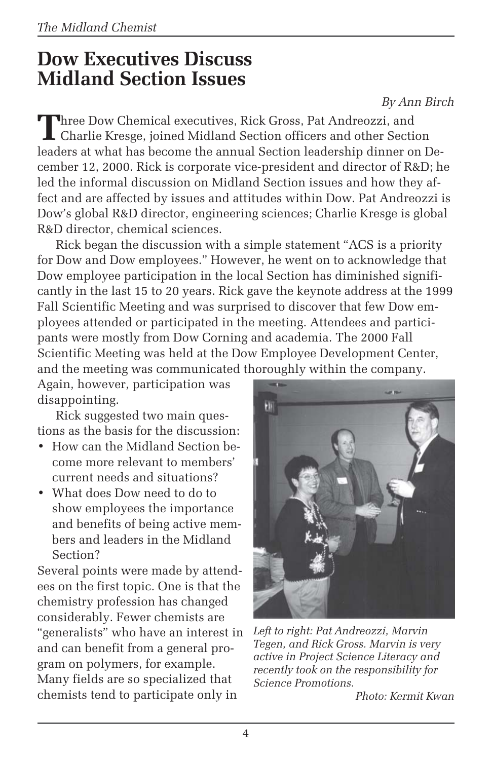### **Dow Executives Discuss Midland Section Issues**

*By Ann Birch*

Three Dow Chemical executives, Rick Gross, Pat Andreozzi, and<br>Charlie Kresge, joined Midland Section officers and other Section leaders at what has become the annual Section leadership dinner on December 12, 2000. Rick is corporate vice-president and director of R&D; he led the informal discussion on Midland Section issues and how they affect and are affected by issues and attitudes within Dow. Pat Andreozzi is Dow's global R&D director, engineering sciences; Charlie Kresge is global R&D director, chemical sciences.

Rick began the discussion with a simple statement "ACS is a priority for Dow and Dow employees." However, he went on to acknowledge that Dow employee participation in the local Section has diminished significantly in the last 15 to 20 years. Rick gave the keynote address at the 1999 Fall Scientific Meeting and was surprised to discover that few Dow employees attended or participated in the meeting. Attendees and participants were mostly from Dow Corning and academia. The 2000 Fall Scientific Meeting was held at the Dow Employee Development Center, and the meeting was communicated thoroughly within the company.

Again, however, participation was disappointing.

Rick suggested two main questions as the basis for the discussion:

- How can the Midland Section become more relevant to members' current needs and situations?
- What does Dow need to do to show employees the importance and benefits of being active members and leaders in the Midland Section?

Several points were made by attendees on the first topic. One is that the chemistry profession has changed considerably. Fewer chemists are "generalists" who have an interest in and can benefit from a general program on polymers, for example. Many fields are so specialized that chemists tend to participate only in



*Left to right: Pat Andreozzi, Marvin Tegen, and Rick Gross. Marvin is very active in Project Science Literacy and recently took on the responsibility for Science Promotions.*

*Photo: Kermit Kwan*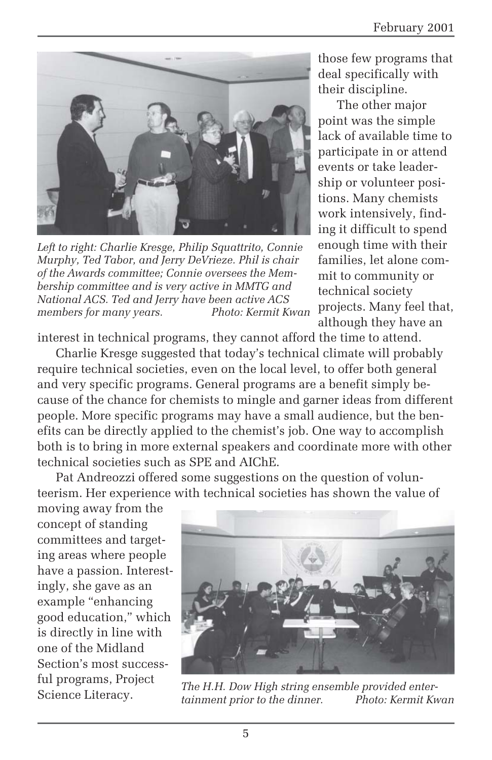

*Left to right: Charlie Kresge, Philip Squattrito, Connie Murphy, Ted Tabor, and Jerry DeVrieze. Phil is chair of the Awards committee; Connie oversees the Membership committee and is very active in MMTG and National ACS. Ted and Jerry have been active ACS members for many years.* 

those few programs that deal specifically with their discipline.

The other major point was the simple lack of available time to participate in or attend events or take leadership or volunteer positions. Many chemists work intensively, finding it difficult to spend enough time with their families, let alone commit to community or technical society projects. Many feel that, although they have an

interest in technical programs, they cannot afford the time to attend.

Charlie Kresge suggested that today's technical climate will probably require technical societies, even on the local level, to offer both general and very specific programs. General programs are a benefit simply because of the chance for chemists to mingle and garner ideas from different people. More specific programs may have a small audience, but the benefits can be directly applied to the chemist's job. One way to accomplish both is to bring in more external speakers and coordinate more with other technical societies such as SPE and AIChE.

Pat Andreozzi offered some suggestions on the question of volunteerism. Her experience with technical societies has shown the value of

moving away from the concept of standing committees and targeting areas where people have a passion. Interestingly, she gave as an example "enhancing good education," which is directly in line with one of the Midland Section's most successful programs, Project Science Literacy.



*The H.H. Dow High string ensemble provided enter* $t$ *ainment prior to the dinner.*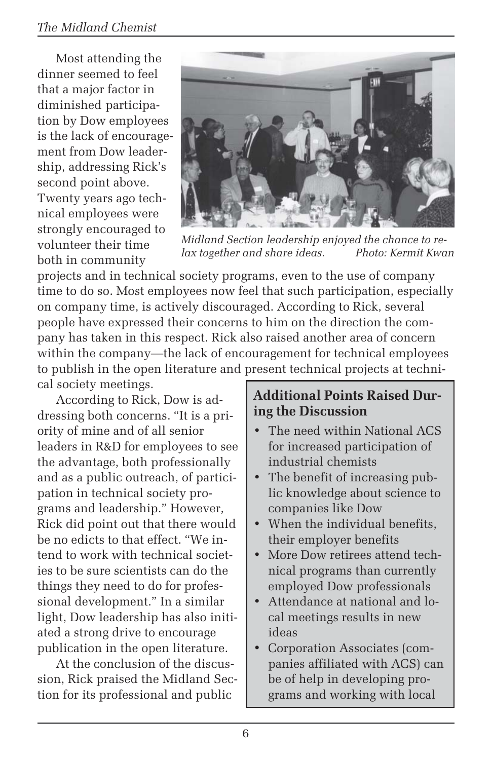### *The Midland Chemist*

Most attending the dinner seemed to feel that a major factor in diminished participation by Dow employees is the lack of encouragement from Dow leadership, addressing Rick's second point above. Twenty years ago technical employees were strongly encouraged to volunteer their time both in community



*Midland Section leadership enjoyed the chance to relax together and share ideas.* 

projects and in technical society programs, even to the use of company time to do so. Most employees now feel that such participation, especially on company time, is actively discouraged. According to Rick, several people have expressed their concerns to him on the direction the company has taken in this respect. Rick also raised another area of concern within the company—the lack of encouragement for technical employees to publish in the open literature and present technical projects at technical society meetings.

According to Rick, Dow is addressing both concerns. "It is a priority of mine and of all senior leaders in R&D for employees to see the advantage, both professionally and as a public outreach, of participation in technical society programs and leadership." However, Rick did point out that there would be no edicts to that effect. "We intend to work with technical societies to be sure scientists can do the things they need to do for professional development." In a similar light, Dow leadership has also initiated a strong drive to encourage publication in the open literature.

At the conclusion of the discussion, Rick praised the Midland Section for its professional and public

#### **Additional Points Raised During the Discussion**

- The need within National ACS for increased participation of industrial chemists
- The benefit of increasing public knowledge about science to companies like Dow
- When the individual benefits, their employer benefits
- More Dow retirees attend technical programs than currently employed Dow professionals
- Attendance at national and local meetings results in new ideas
- Corporation Associates (companies affiliated with ACS) can be of help in developing programs and working with local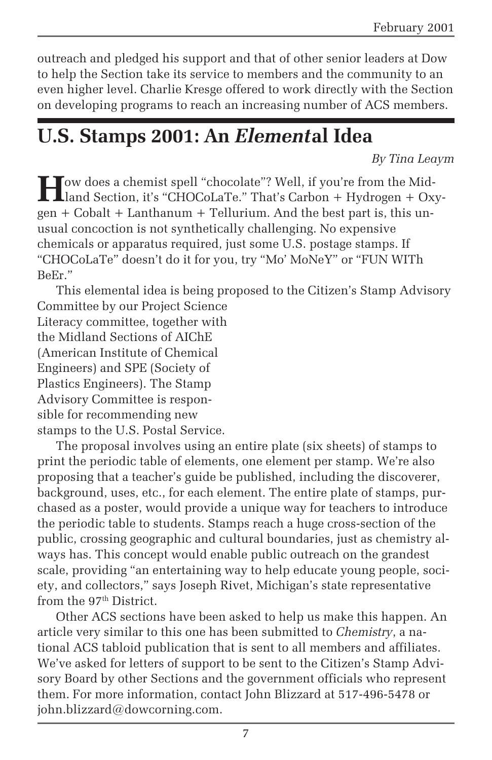outreach and pledged his support and that of other senior leaders at Dow to help the Section take its service to members and the community to an even higher level. Charlie Kresge offered to work directly with the Section on developing programs to reach an increasing number of ACS members.

# **U.S. Stamps 2001: An** *Element***al Idea**

*By Tina Leaym*

How does a chemist spell "chocolate"? Well, if you're from the Mid-<br>Lland Section, it's "CHOCoLaTe." That's Carbon + Hydrogen + Oxygen + Cobalt + Lanthanum + Tellurium. And the best part is, this unusual concoction is not synthetically challenging. No expensive chemicals or apparatus required, just some U.S. postage stamps. If "CHOCoLaTe" doesn't do it for you, try "Mo' MoNeY" or "FUN WITh BeEr."

This elemental idea is being proposed to the Citizen's Stamp Advisory Committee by our Project Science Literacy committee, together with the Midland Sections of AIChE (American Institute of Chemical Engineers) and SPE (Society of Plastics Engineers). The Stamp Advisory Committee is responsible for recommending new stamps to the U.S. Postal Service.

The proposal involves using an entire plate (six sheets) of stamps to print the periodic table of elements, one element per stamp. We're also proposing that a teacher's guide be published, including the discoverer, background, uses, etc., for each element. The entire plate of stamps, purchased as a poster, would provide a unique way for teachers to introduce the periodic table to students. Stamps reach a huge cross-section of the public, crossing geographic and cultural boundaries, just as chemistry always has. This concept would enable public outreach on the grandest scale, providing "an entertaining way to help educate young people, society, and collectors," says Joseph Rivet, Michigan's state representative from the 97<sup>th</sup> District.

Other ACS sections have been asked to help us make this happen. An article very similar to this one has been submitted to *Chemistry*, a national ACS tabloid publication that is sent to all members and affiliates. We've asked for letters of support to be sent to the Citizen's Stamp Advisory Board by other Sections and the government officials who represent them. For more information, contact John Blizzard at 517-496-5478 or john.blizzard@dowcorning.com.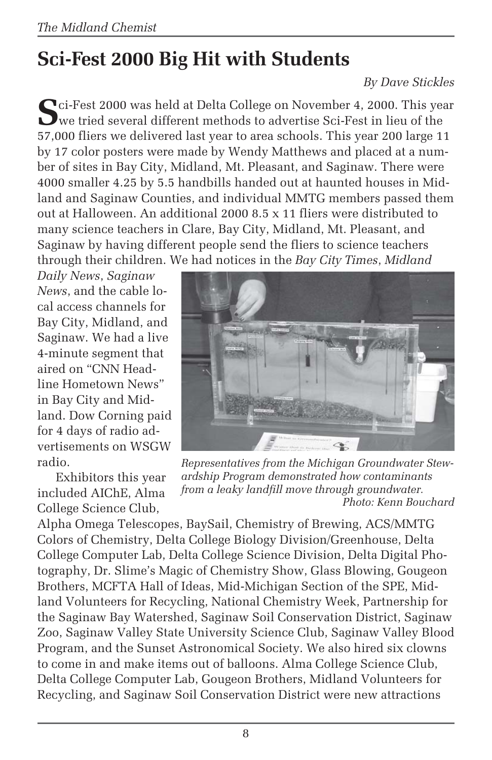# **Sci-Fest 2000 Big Hit with Students**

#### *By Dave Stickles*

**S**ci-Fest 2000 was held at Delta College on November 4, 2000. This year we tried several different methods to advertise Sci-Fest in lieu of the 57,000 fliers we delivered last year to area schools. This year 200 large 11 by 17 color posters were made by Wendy Matthews and placed at a number of sites in Bay City, Midland, Mt. Pleasant, and Saginaw. There were 4000 smaller 4.25 by 5.5 handbills handed out at haunted houses in Midland and Saginaw Counties, and individual MMTG members passed them out at Halloween. An additional 2000 8.5 x 11 fliers were distributed to many science teachers in Clare, Bay City, Midland, Mt. Pleasant, and Saginaw by having different people send the fliers to science teachers through their children. We had notices in the *Bay City Times*, *Midland*

*Daily News*, *Saginaw News*, and the cable local access channels for Bay City, Midland, and Saginaw. We had a live 4-minute segment that aired on "CNN Headline Hometown News" in Bay City and Midland. Dow Corning paid for 4 days of radio advertisements on WSGW radio.

Exhibitors this year included AIChE, Alma College Science Club,



*Representatives from the Michigan Groundwater Stewardship Program demonstrated how contaminants from a leaky landfill move through groundwater. Photo: Kenn Bouchard*

Alpha Omega Telescopes, BaySail, Chemistry of Brewing, ACS/MMTG Colors of Chemistry, Delta College Biology Division/Greenhouse, Delta College Computer Lab, Delta College Science Division, Delta Digital Photography, Dr. Slime's Magic of Chemistry Show, Glass Blowing, Gougeon Brothers, MCFTA Hall of Ideas, Mid-Michigan Section of the SPE, Midland Volunteers for Recycling, National Chemistry Week, Partnership for the Saginaw Bay Watershed, Saginaw Soil Conservation District, Saginaw Zoo, Saginaw Valley State University Science Club, Saginaw Valley Blood Program, and the Sunset Astronomical Society. We also hired six clowns to come in and make items out of balloons. Alma College Science Club, Delta College Computer Lab, Gougeon Brothers, Midland Volunteers for Recycling, and Saginaw Soil Conservation District were new attractions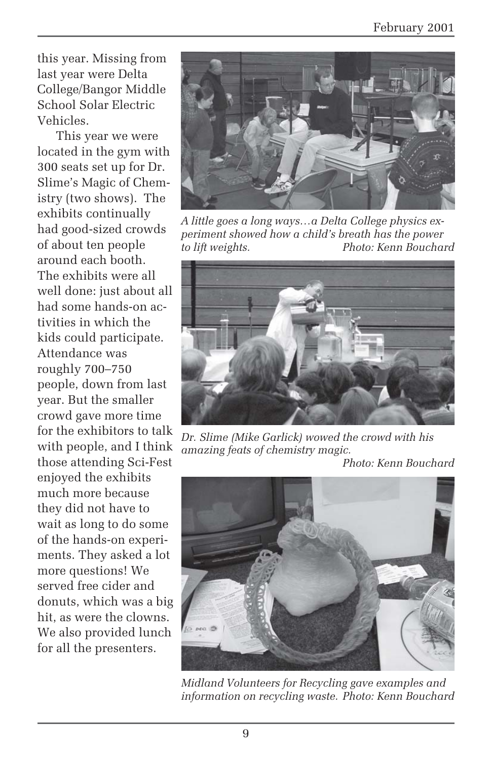this year. Missing from last year were Delta College/Bangor Middle School Solar Electric Vehicles.

This year we were located in the gym with 300 seats set up for Dr. Slime's Magic of Chemistry (two shows). The exhibits continually had good-sized crowds of about ten people around each booth. The exhibits were all well done: just about all had some hands-on activities in which the kids could participate. Attendance was roughly 700–750 people, down from last year. But the smaller crowd gave more time for the exhibitors to talk with people, and I think those attending Sci-Fest enjoyed the exhibits much more because they did not have to wait as long to do some of the hands-on experiments. They asked a lot more questions! We served free cider and donuts, which was a big hit, as were the clowns. We also provided lunch for all the presenters.



*A little goes a long ways…a Delta College physics experiment showed how a child's breath has the power to lift weights. Photo: Kenn Bouchard*



*Dr. Slime (Mike Garlick) wowed the crowd with his amazing feats of chemistry magic.*

*Photo: Kenn Bouchard*



*Midland Volunteers for Recycling gave examples and information on recycling waste. Photo: Kenn Bouchard*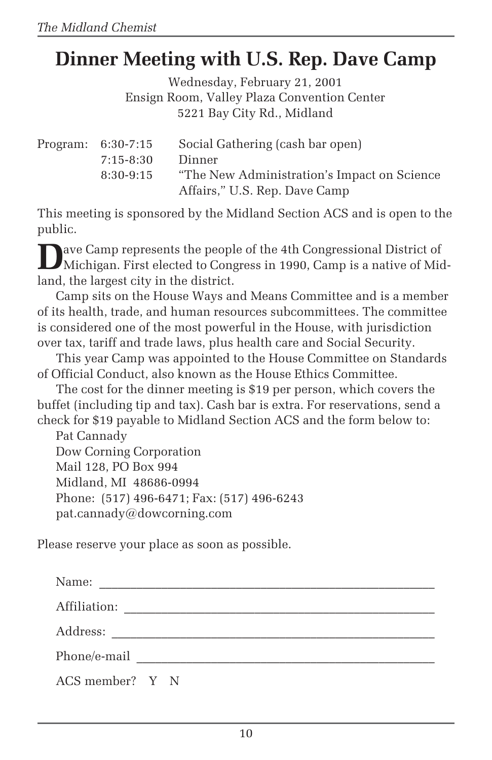# **Dinner Meeting with U.S. Rep. Dave Camp**

Wednesday, February 21, 2001 Ensign Room, Valley Plaza Convention Center 5221 Bay City Rd., Midland

Program: 6:30-7:15 Social Gathering (cash bar open) 7:15-8:30 Dinner 8:30-9:15 "The New Administration's Impact on Science Affairs," U.S. Rep. Dave Camp

This meeting is sponsored by the Midland Section ACS and is open to the public.

**D**ave Camp represents the people of the 4th Congressional District of Michigan. First elected to Congress in 1990, Camp is a native of Midland, the largest city in the district.

Camp sits on the House Ways and Means Committee and is a member of its health, trade, and human resources subcommittees. The committee is considered one of the most powerful in the House, with jurisdiction over tax, tariff and trade laws, plus health care and Social Security.

This year Camp was appointed to the House Committee on Standards of Official Conduct, also known as the House Ethics Committee.

The cost for the dinner meeting is \$19 per person, which covers the buffet (including tip and tax). Cash bar is extra. For reservations, send a check for \$19 payable to Midland Section ACS and the form below to:

Pat Cannady Dow Corning Corporation Mail 128, PO Box 994 Midland, MI 48686-0994 Phone: (517) 496-6471; Fax: (517) 496-6243 pat.cannady@dowcorning.com

Please reserve your place as soon as possible.

| Name:           |  |  |  |  |  |  |
|-----------------|--|--|--|--|--|--|
| Affiliation:    |  |  |  |  |  |  |
|                 |  |  |  |  |  |  |
| Phone/e-mail    |  |  |  |  |  |  |
| ACS member? Y N |  |  |  |  |  |  |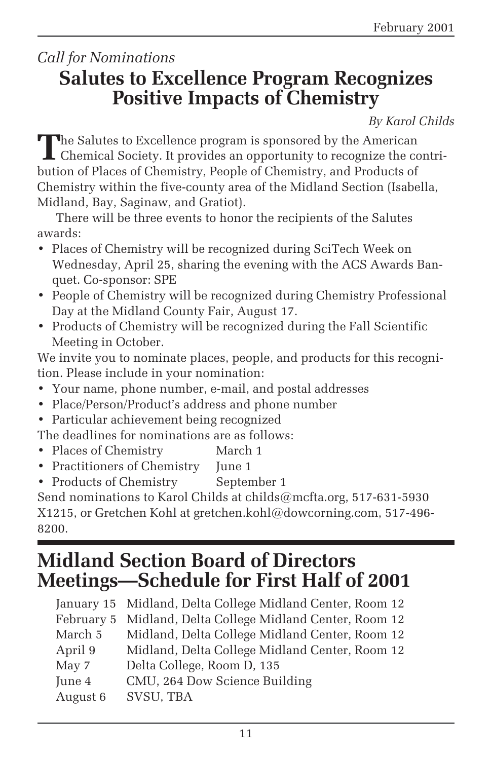### *Call for Nominations* **Salutes to Excellence Program Recognizes Positive Impacts of Chemistry**

*By Karol Childs*

**T**he Salutes to Excellence program is sponsored by the American Chemical Society. It provides an opportunity to recognize the contribution of Places of Chemistry, People of Chemistry, and Products of Chemistry within the five-county area of the Midland Section (Isabella, Midland, Bay, Saginaw, and Gratiot).

There will be three events to honor the recipients of the Salutes awards:

- Places of Chemistry will be recognized during SciTech Week on Wednesday, April 25, sharing the evening with the ACS Awards Banquet. Co-sponsor: SPE
- People of Chemistry will be recognized during Chemistry Professional Day at the Midland County Fair, August 17.
- Products of Chemistry will be recognized during the Fall Scientific Meeting in October.

We invite you to nominate places, people, and products for this recognition. Please include in your nomination:

- Your name, phone number, e-mail, and postal addresses
- Place/Person/Product's address and phone number
- Particular achievement being recognized

The deadlines for nominations are as follows:

- Places of Chemistry March 1
- Practitioners of Chemistry June 1
- Products of Chemistry September 1

Send nominations to Karol Childs at childs@mcfta.org, 517-631-5930 X1215, or Gretchen Kohl at gretchen.kohl@dowcorning.com, 517-496- 8200.

### **Midland Section Board of Directors Meetings—Schedule for First Half of 2001**

|          | January 15 Midland, Delta College Midland Center, Room 12 |
|----------|-----------------------------------------------------------|
|          | February 5 Midland, Delta College Midland Center, Room 12 |
| March 5  | Midland, Delta College Midland Center, Room 12            |
| April 9  | Midland, Delta College Midland Center, Room 12            |
| May 7    | Delta College, Room D, 135                                |
| June 4   | CMU, 264 Dow Science Building                             |
| August 6 | SVSU, TBA                                                 |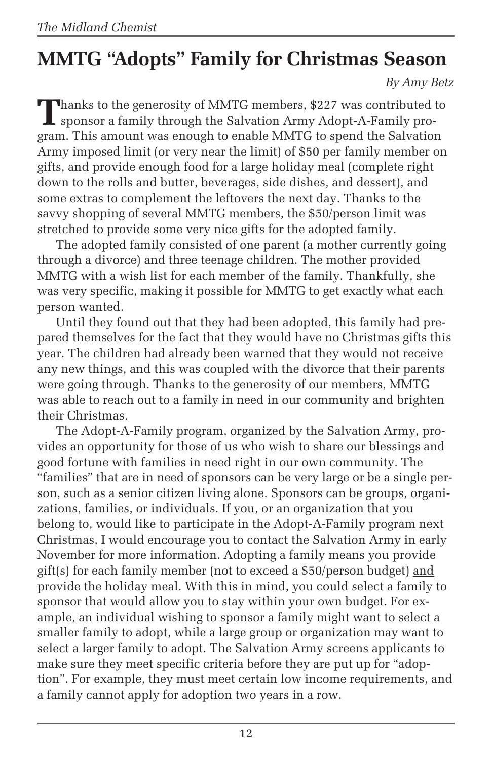# **MMTG "Adopts" Family for Christmas Season**

*By Amy Betz*

Thanks to the generosity of MMTG members, \$227 was contributed to sponsor a family through the Salvation Army Adopt-A-Family program. This amount was enough to enable MMTG to spend the Salvation Army imposed limit (or very near the limit) of \$50 per family member on gifts, and provide enough food for a large holiday meal (complete right down to the rolls and butter, beverages, side dishes, and dessert), and some extras to complement the leftovers the next day. Thanks to the savvy shopping of several MMTG members, the \$50/person limit was stretched to provide some very nice gifts for the adopted family.

The adopted family consisted of one parent (a mother currently going through a divorce) and three teenage children. The mother provided MMTG with a wish list for each member of the family. Thankfully, she was very specific, making it possible for MMTG to get exactly what each person wanted.

Until they found out that they had been adopted, this family had prepared themselves for the fact that they would have no Christmas gifts this year. The children had already been warned that they would not receive any new things, and this was coupled with the divorce that their parents were going through. Thanks to the generosity of our members, MMTG was able to reach out to a family in need in our community and brighten their Christmas.

The Adopt-A-Family program, organized by the Salvation Army, provides an opportunity for those of us who wish to share our blessings and good fortune with families in need right in our own community. The "families" that are in need of sponsors can be very large or be a single person, such as a senior citizen living alone. Sponsors can be groups, organizations, families, or individuals. If you, or an organization that you belong to, would like to participate in the Adopt-A-Family program next Christmas, I would encourage you to contact the Salvation Army in early November for more information. Adopting a family means you provide gift(s) for each family member (not to exceed a \$50/person budget) and provide the holiday meal. With this in mind, you could select a family to sponsor that would allow you to stay within your own budget. For example, an individual wishing to sponsor a family might want to select a smaller family to adopt, while a large group or organization may want to select a larger family to adopt. The Salvation Army screens applicants to make sure they meet specific criteria before they are put up for "adoption". For example, they must meet certain low income requirements, and a family cannot apply for adoption two years in a row.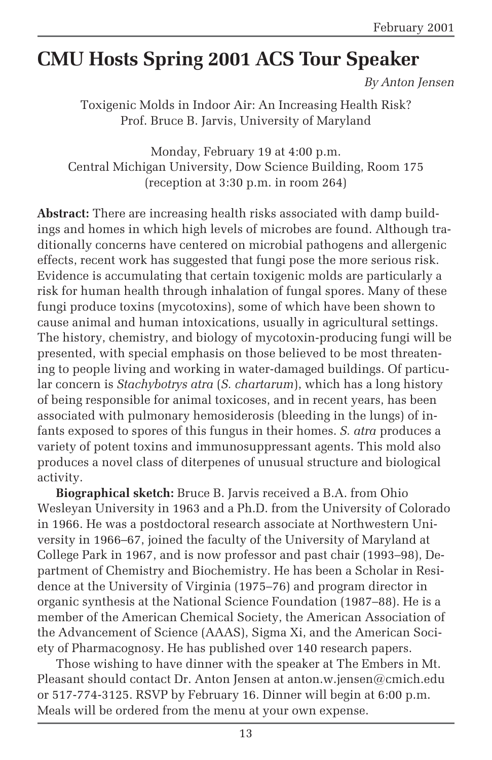# **CMU Hosts Spring 2001 ACS Tour Speaker**

*By Anton Jensen*

Toxigenic Molds in Indoor Air: An Increasing Health Risk? Prof. Bruce B. Jarvis, University of Maryland

Monday, February 19 at 4:00 p.m. Central Michigan University, Dow Science Building, Room 175 (reception at 3:30 p.m. in room 264)

**Abstract:** There are increasing health risks associated with damp buildings and homes in which high levels of microbes are found. Although traditionally concerns have centered on microbial pathogens and allergenic effects, recent work has suggested that fungi pose the more serious risk. Evidence is accumulating that certain toxigenic molds are particularly a risk for human health through inhalation of fungal spores. Many of these fungi produce toxins (mycotoxins), some of which have been shown to cause animal and human intoxications, usually in agricultural settings. The history, chemistry, and biology of mycotoxin-producing fungi will be presented, with special emphasis on those believed to be most threatening to people living and working in water-damaged buildings. Of particular concern is *Stachybotrys atra* (*S. chartarum*), which has a long history of being responsible for animal toxicoses, and in recent years, has been associated with pulmonary hemosiderosis (bleeding in the lungs) of infants exposed to spores of this fungus in their homes. *S. atra* produces a variety of potent toxins and immunosuppressant agents. This mold also produces a novel class of diterpenes of unusual structure and biological activity.

**Biographical sketch:** Bruce B. Jarvis received a B.A. from Ohio Wesleyan University in 1963 and a Ph.D. from the University of Colorado in 1966. He was a postdoctoral research associate at Northwestern University in 1966–67, joined the faculty of the University of Maryland at College Park in 1967, and is now professor and past chair (1993–98), Department of Chemistry and Biochemistry. He has been a Scholar in Residence at the University of Virginia (1975–76) and program director in organic synthesis at the National Science Foundation (1987–88). He is a member of the American Chemical Society, the American Association of the Advancement of Science (AAAS), Sigma Xi, and the American Society of Pharmacognosy. He has published over 140 research papers.

Those wishing to have dinner with the speaker at The Embers in Mt. Pleasant should contact Dr. Anton Jensen at anton.w.jensen@cmich.edu or 517-774-3125. RSVP by February 16. Dinner will begin at 6:00 p.m. Meals will be ordered from the menu at your own expense.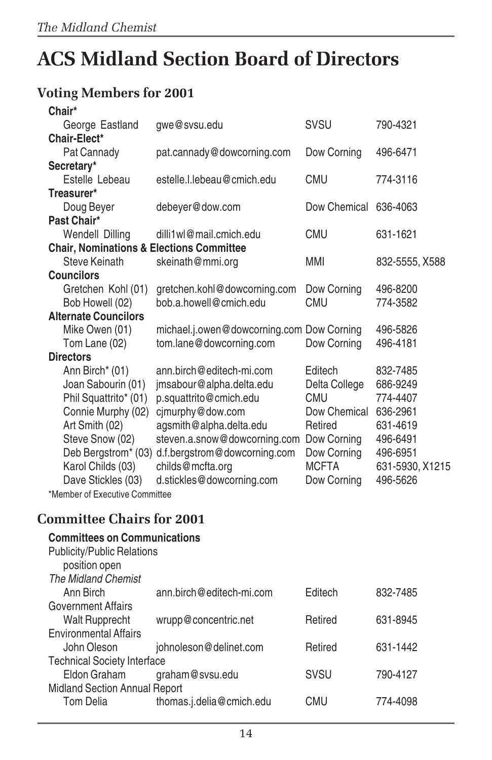# **ACS Midland Section Board of Directors**

### **Voting Members for 2001**

| Chair*                                              |                                           |                       |                 |
|-----------------------------------------------------|-------------------------------------------|-----------------------|-----------------|
| George Eastland                                     | gwe@svsu.edu                              | SVSU                  | 790-4321        |
| Chair-Elect*                                        |                                           |                       |                 |
| Pat Cannady                                         | pat.cannady@dowcorning.com                | Dow Corning           | 496-6471        |
| Secretary*                                          |                                           |                       |                 |
| Estelle Lebeau                                      | estelle.l.lebeau@cmich.edu                | <b>CMU</b>            | 774-3116        |
| Treasurer*                                          |                                           |                       |                 |
| Doug Beyer                                          | debeyer@dow.com                           | Dow Chemical          | 636-4063        |
| Past Chair*                                         |                                           |                       |                 |
| Wendell Dilling                                     | dilli1wl@mail.cmich.edu                   | <b>CMU</b>            | 631-1621        |
| <b>Chair, Nominations &amp; Elections Committee</b> |                                           |                       |                 |
| Steve Keinath                                       | skeinath@mmi.org                          | <b>MMI</b>            | 832-5555, X588  |
| <b>Councilors</b>                                   |                                           |                       |                 |
| Gretchen Kohl (01)                                  | gretchen.kohl@dowcorning.com              | Dow Corning           | 496-8200        |
| Bob Howell (02)                                     | bob a howell@cmich.edu                    | <b>CMU</b>            | 774-3582        |
| <b>Alternate Councilors</b>                         |                                           |                       |                 |
| Mike Owen (01)                                      | michael.j.owen@dowcorning.com Dow Corning |                       | 496-5826        |
| Tom Lane (02)                                       | tom.lane@dowcorning.com                   | Dow Corning           | 496-4181        |
| <b>Directors</b>                                    |                                           |                       |                 |
| Ann Birch* (01)                                     | ann.birch@editech-mi.com                  | Editech               | 832-7485        |
| Joan Sabourin (01)                                  | jmsabour@alpha.delta.edu                  | Delta College         | 686-9249        |
| Phil Squattrito* (01)                               | p.squattrito@cmich.edu                    | <b>CMU</b>            | 774-4407        |
| Connie Murphy (02)                                  | cjmurphy@dow.com                          | Dow Chemical 636-2961 |                 |
| Art Smith (02)                                      | agsmith@alpha.delta.edu                   | Retired               | 631-4619        |
| Steve Snow (02)                                     | steven.a.snow@dowcorning.com              | Dow Corning           | 496-6491        |
| Deb Bergstrom* (03)                                 | d.f.bergstrom@dowcorning.com              | Dow Corning           | 496-6951        |
| Karol Childs (03)                                   | childs@mcfta.org                          | <b>MCFTA</b>          | 631-5930, X1215 |
| Dave Stickles (03)                                  | d.stickles@dowcorning.com                 | Dow Corning           | 496-5626        |
| *Member of Executive Committee                      |                                           |                       |                 |
|                                                     |                                           |                       |                 |
| Committee Chairs for 2001                           |                                           |                       |                 |
| <b>Committees on Communications</b>                 |                                           |                       |                 |
| <b>Publicity/Public Relations</b>                   |                                           |                       |                 |
| position open                                       |                                           |                       |                 |
| <b>The Midland Chemist</b>                          |                                           |                       |                 |
| Ann Birch                                           | ann.birch@editech-mi.com                  | Editech               | 832-7485        |
| <b>Government Affairs</b>                           |                                           |                       |                 |
| <b>Walt Rupprecht</b>                               | wrupp@concentric.net                      | Retired               | 631-8945        |
|                                                     |                                           |                       |                 |

### **Committee Chairs for 2001**

| <b>PUDICITY/PUDIC Relations</b>    |                          |             |          |
|------------------------------------|--------------------------|-------------|----------|
| position open                      |                          |             |          |
| <b>The Midland Chemist</b>         |                          |             |          |
| Ann Birch                          | ann.birch@editech-mi.com | Editech     | 832-7485 |
| <b>Government Affairs</b>          |                          |             |          |
| <b>Walt Rupprecht</b>              | wrupp@concentric.net     | Retired     | 631-8945 |
| <b>Environmental Affairs</b>       |                          |             |          |
| John Oleson                        | johnoleson@delinet.com   | Retired     | 631-1442 |
| <b>Technical Society Interface</b> |                          |             |          |
| Eldon Graham                       | graham@svsu.edu          | <b>SVSU</b> | 790-4127 |
| Midland Section Annual Report      |                          |             |          |
| Tom Delia                          | thomas.j.delia@cmich.edu | CMU         | 774-4098 |
|                                    |                          |             |          |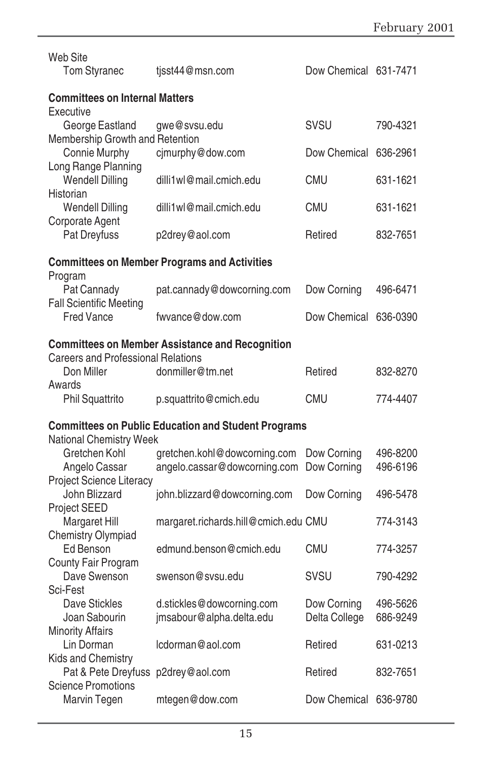| <b>Web Site</b><br><b>Tom Styranec</b>                     | tisst44@msn.com                                              | Dow Chemical 631-7471      |                      |  |
|------------------------------------------------------------|--------------------------------------------------------------|----------------------------|----------------------|--|
| <b>Committees on Internal Matters</b><br>Executive         |                                                              |                            |                      |  |
| George Eastland<br>Membership Growth and Retention         | gwe@svsu.edu                                                 | <b>SVSU</b>                | 790-4321             |  |
| Connie Murphy<br>Long Range Planning                       | cjmurphy@dow.com                                             | Dow Chemical 636-2961      |                      |  |
| <b>Wendell Dilling</b><br>Historian                        | dilli1wl@mail.cmich.edu                                      | CMU                        | 631-1621             |  |
| <b>Wendell Dilling</b><br>Corporate Agent                  | dilli1wl@mail.cmich.edu                                      | <b>CMU</b>                 | 631-1621             |  |
| Pat Dreyfuss                                               | p2drey@aol.com                                               | Retired                    | 832-7651             |  |
| Program                                                    | <b>Committees on Member Programs and Activities</b>          |                            |                      |  |
| Pat Cannady                                                | pat.cannady@dowcorning.com                                   | Dow Corning                | 496-6471             |  |
| <b>Fall Scientific Meeting</b><br>Fred Vance               | fwyance@dow.com                                              | Dow Chemical               | 636-0390             |  |
|                                                            | <b>Committees on Member Assistance and Recognition</b>       |                            |                      |  |
| Careers and Professional Relations<br>Don Miller           | donmiller@tm.net                                             | Retired                    | 832-8270             |  |
| Awards<br>Phil Squattrito                                  | p.squattrito@cmich.edu                                       | <b>CMU</b>                 | 774-4407             |  |
| <b>Committees on Public Education and Student Programs</b> |                                                              |                            |                      |  |
| National Chemistry Week                                    |                                                              |                            |                      |  |
| Gretchen Kohl<br>Angelo Cassar                             | gretchen.kohl@dowcorning.com<br>angelo.cassar@dowcorning.com | Dow Corning<br>Dow Corning | 496-8200<br>496-6196 |  |
| Project Science Literacy                                   |                                                              |                            |                      |  |
| John Blizzard<br>Project SEED                              | john.blizzard@dowcorning.com                                 | Dow Corning                | 496-5478             |  |
| <b>Margaret Hill</b><br>Chemistry Olympiad                 | margaret.richards.hill@cmich.edu CMU                         |                            | 774-3143             |  |
| Ed Benson                                                  | edmund.benson@cmich.edu                                      | <b>CMU</b>                 | 774-3257             |  |
| County Fair Program<br>Dave Swenson                        | swenson@sysu.edu                                             | <b>SVSU</b>                | 790-4292             |  |
| Sci-Fest                                                   |                                                              |                            |                      |  |
| Dave Stickles                                              | d.stickles@dowcorning.com                                    | Dow Corning                | 496-5626             |  |
| Joan Sabourin                                              | jmsabour@alpha.delta.edu                                     | Delta College              | 686-9249             |  |
| <b>Minority Affairs</b><br>Lin Dorman                      | lcdorman@aol.com                                             | Retired                    | 631-0213             |  |
| Kids and Chemistry                                         |                                                              |                            |                      |  |
| Pat & Pete Dreyfuss p2drey@aol.com                         |                                                              | Retired                    | 832-7651             |  |
| <b>Science Promotions</b>                                  |                                                              |                            |                      |  |
| Marvin Tegen                                               | mtegen@dow.com                                               | Dow Chemical 636-9780      |                      |  |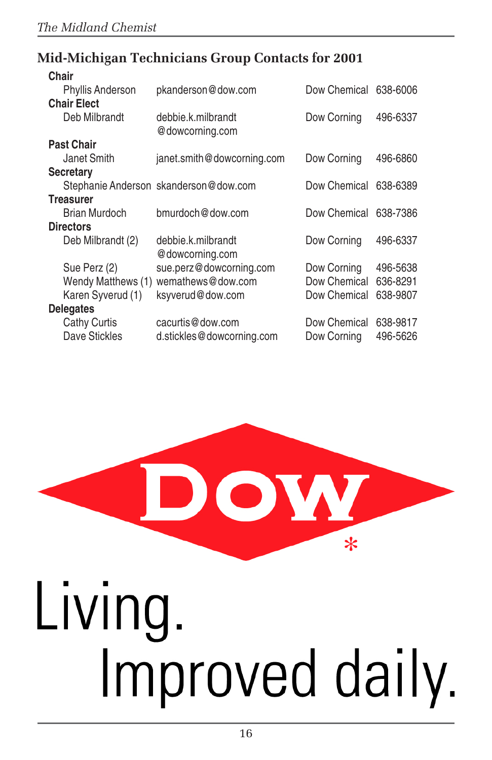### **Mid-Michigan Technicians Group Contacts for 2001**

| Chair              |                                       |              |          |
|--------------------|---------------------------------------|--------------|----------|
| Phyllis Anderson   | pkanderson@dow.com                    | Dow Chemical | 638-6006 |
| <b>Chair Elect</b> |                                       |              |          |
| Deb Milbrandt      | debbie.k.milbrandt<br>@dowcorning.com | Dow Corning  | 496-6337 |
| <b>Past Chair</b>  |                                       |              |          |
| Janet Smith        | janet.smith@dowcorning.com            | Dow Corning  | 496-6860 |
| <b>Secretary</b>   |                                       |              |          |
|                    | Stephanie Anderson skanderson@dow.com | Dow Chemical | 638-6389 |
| <b>Treasurer</b>   |                                       |              |          |
| Brian Murdoch      | bmurdoch@dow.com                      | Dow Chemical | 638-7386 |
| <b>Directors</b>   |                                       |              |          |
| Deb Milbrandt (2)  | debbie.k.milbrandt<br>@dowcorning.com | Dow Corning  | 496-6337 |
| Sue Perz (2)       | sue.perz@dowcorning.com               | Dow Corning  | 496-5638 |
| Wendy Matthews (1) | wemathews@dow.com                     | Dow Chemical | 636-8291 |
| Karen Syverud (1)  | ksyverud@dow.com                      | Dow Chemical | 638-9807 |
| <b>Delegates</b>   |                                       |              |          |
| Cathy Curtis       | cacurtis@dow.com                      | Dow Chemical | 638-9817 |
| Dave Stickles      | d.stickles@dowcorning.com             | Dow Corning  | 496-5626 |

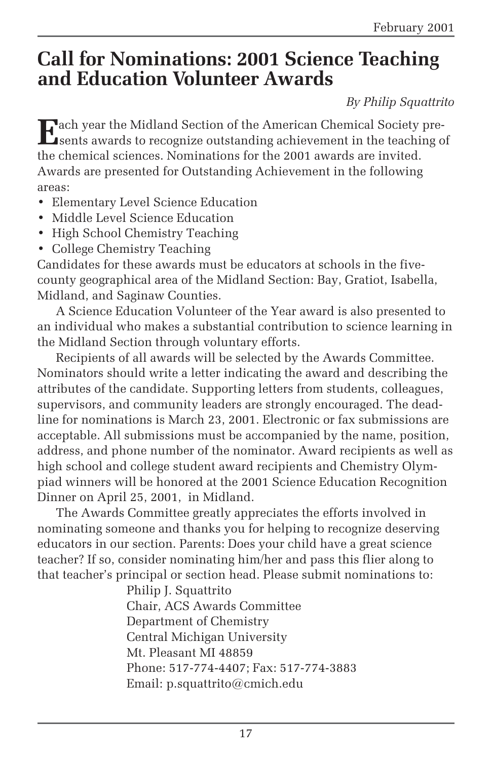# **Call for Nominations: 2001 Science Teaching and Education Volunteer Awards**

*By Philip Squattrito*

**E**ach year the Midland Section of the American Chemical Society pre-sents awards to recognize outstanding achievement in the teaching of the chemical sciences. Nominations for the 2001 awards are invited. Awards are presented for Outstanding Achievement in the following areas:

- Elementary Level Science Education
- Middle Level Science Education
- High School Chemistry Teaching
- College Chemistry Teaching

Candidates for these awards must be educators at schools in the fivecounty geographical area of the Midland Section: Bay, Gratiot, Isabella, Midland, and Saginaw Counties.

A Science Education Volunteer of the Year award is also presented to an individual who makes a substantial contribution to science learning in the Midland Section through voluntary efforts.

Recipients of all awards will be selected by the Awards Committee. Nominators should write a letter indicating the award and describing the attributes of the candidate. Supporting letters from students, colleagues, supervisors, and community leaders are strongly encouraged. The deadline for nominations is March 23, 2001. Electronic or fax submissions are acceptable. All submissions must be accompanied by the name, position, address, and phone number of the nominator. Award recipients as well as high school and college student award recipients and Chemistry Olympiad winners will be honored at the 2001 Science Education Recognition Dinner on April 25, 2001, in Midland.

The Awards Committee greatly appreciates the efforts involved in nominating someone and thanks you for helping to recognize deserving educators in our section. Parents: Does your child have a great science teacher? If so, consider nominating him/her and pass this flier along to that teacher's principal or section head. Please submit nominations to:

> Philip J. Squattrito Chair, ACS Awards Committee Department of Chemistry Central Michigan University Mt. Pleasant MI 48859 Phone: 517-774-4407; Fax: 517-774-3883 Email: p.squattrito@cmich.edu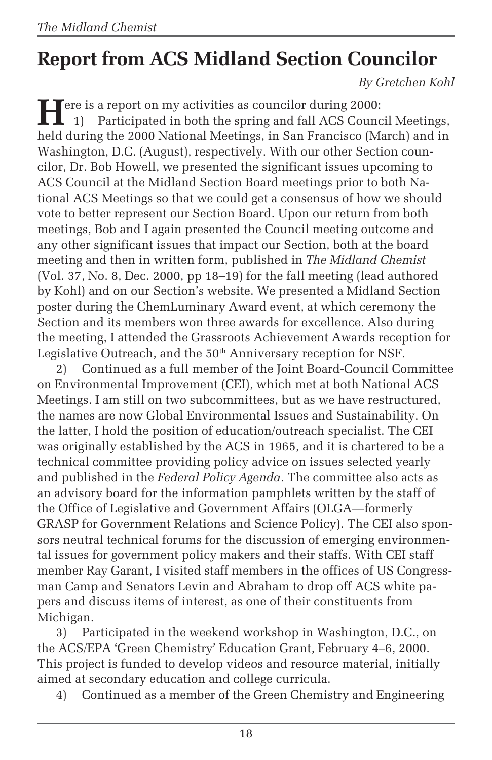# **Report from ACS Midland Section Councilor**

*By Gretchen Kohl*

Fere is a report on my activities as councilor during 2000:<br>
1) Participated in both the spring and fall ACS Counc 1) Participated in both the spring and fall ACS Council Meetings, held during the 2000 National Meetings, in San Francisco (March) and in Washington, D.C. (August), respectively. With our other Section councilor, Dr. Bob Howell, we presented the significant issues upcoming to ACS Council at the Midland Section Board meetings prior to both National ACS Meetings so that we could get a consensus of how we should vote to better represent our Section Board. Upon our return from both meetings, Bob and I again presented the Council meeting outcome and any other significant issues that impact our Section, both at the board meeting and then in written form, published in *The Midland Chemist* (Vol. 37, No. 8, Dec. 2000, pp 18–19) for the fall meeting (lead authored by Kohl) and on our Section's website. We presented a Midland Section poster during the ChemLuminary Award event, at which ceremony the Section and its members won three awards for excellence. Also during the meeting, I attended the Grassroots Achievement Awards reception for Legislative Outreach, and the 50<sup>th</sup> Anniversary reception for NSF.

2) Continued as a full member of the Joint Board-Council Committee on Environmental Improvement (CEI), which met at both National ACS Meetings. I am still on two subcommittees, but as we have restructured, the names are now Global Environmental Issues and Sustainability. On the latter, I hold the position of education/outreach specialist. The CEI was originally established by the ACS in 1965, and it is chartered to be a technical committee providing policy advice on issues selected yearly and published in the *Federal Policy Agenda*. The committee also acts as an advisory board for the information pamphlets written by the staff of the Office of Legislative and Government Affairs (OLGA—formerly GRASP for Government Relations and Science Policy). The CEI also sponsors neutral technical forums for the discussion of emerging environmental issues for government policy makers and their staffs. With CEI staff member Ray Garant, I visited staff members in the offices of US Congressman Camp and Senators Levin and Abraham to drop off ACS white papers and discuss items of interest, as one of their constituents from Michigan.

3) Participated in the weekend workshop in Washington, D.C., on the ACS/EPA 'Green Chemistry' Education Grant, February 4–6, 2000. This project is funded to develop videos and resource material, initially aimed at secondary education and college curricula.

4) Continued as a member of the Green Chemistry and Engineering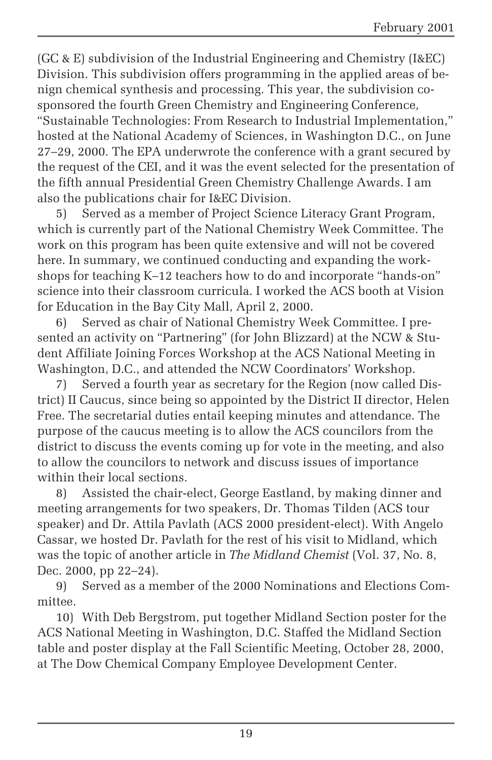(GC & E) subdivision of the Industrial Engineering and Chemistry (I&EC) Division. This subdivision offers programming in the applied areas of benign chemical synthesis and processing. This year, the subdivision cosponsored the fourth Green Chemistry and Engineering Conference, "Sustainable Technologies: From Research to Industrial Implementation," hosted at the National Academy of Sciences, in Washington D.C., on June 27–29, 2000. The EPA underwrote the conference with a grant secured by the request of the CEI, and it was the event selected for the presentation of the fifth annual Presidential Green Chemistry Challenge Awards. I am also the publications chair for I&EC Division.

5) Served as a member of Project Science Literacy Grant Program, which is currently part of the National Chemistry Week Committee. The work on this program has been quite extensive and will not be covered here. In summary, we continued conducting and expanding the workshops for teaching K–12 teachers how to do and incorporate "hands-on" science into their classroom curricula. I worked the ACS booth at Vision for Education in the Bay City Mall, April 2, 2000.

6) Served as chair of National Chemistry Week Committee. I presented an activity on "Partnering" (for John Blizzard) at the NCW & Student Affiliate Joining Forces Workshop at the ACS National Meeting in Washington, D.C., and attended the NCW Coordinators' Workshop.

7) Served a fourth year as secretary for the Region (now called District) II Caucus, since being so appointed by the District II director, Helen Free. The secretarial duties entail keeping minutes and attendance. The purpose of the caucus meeting is to allow the ACS councilors from the district to discuss the events coming up for vote in the meeting, and also to allow the councilors to network and discuss issues of importance within their local sections.

8) Assisted the chair-elect, George Eastland, by making dinner and meeting arrangements for two speakers, Dr. Thomas Tilden (ACS tour speaker) and Dr. Attila Pavlath (ACS 2000 president-elect). With Angelo Cassar, we hosted Dr. Pavlath for the rest of his visit to Midland, which was the topic of another article in *The Midland Chemist* (Vol. 37, No. 8, Dec. 2000, pp 22–24).

9) Served as a member of the 2000 Nominations and Elections Committee.

10) With Deb Bergstrom, put together Midland Section poster for the ACS National Meeting in Washington, D.C. Staffed the Midland Section table and poster display at the Fall Scientific Meeting, October 28, 2000, at The Dow Chemical Company Employee Development Center.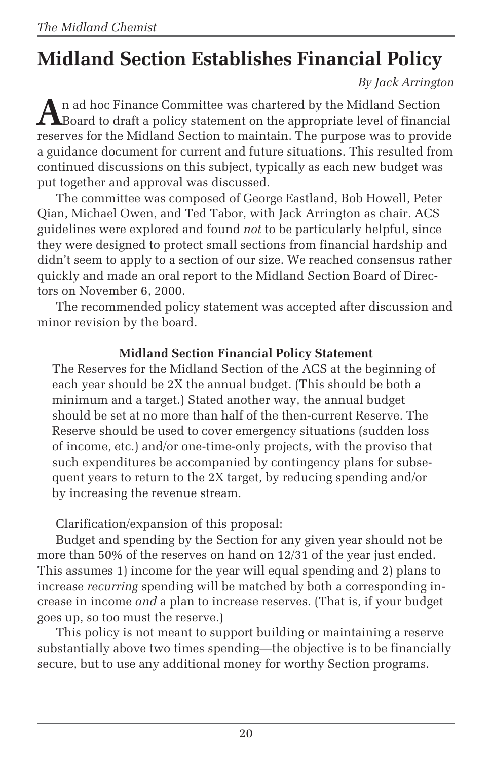# **Midland Section Establishes Financial Policy**

*By Jack Arrington*

**A**n ad hoc Finance Committee was chartered by the Midland Section Board to draft a policy statement on the appropriate level of financial reserves for the Midland Section to maintain. The purpose was to provide a guidance document for current and future situations. This resulted from continued discussions on this subject, typically as each new budget was put together and approval was discussed.

The committee was composed of George Eastland, Bob Howell, Peter Qian, Michael Owen, and Ted Tabor, with Jack Arrington as chair. ACS guidelines were explored and found *not* to be particularly helpful, since they were designed to protect small sections from financial hardship and didn't seem to apply to a section of our size. We reached consensus rather quickly and made an oral report to the Midland Section Board of Directors on November 6, 2000.

The recommended policy statement was accepted after discussion and minor revision by the board.

### **Midland Section Financial Policy Statement**

The Reserves for the Midland Section of the ACS at the beginning of each year should be 2X the annual budget. (This should be both a minimum and a target.) Stated another way, the annual budget should be set at no more than half of the then-current Reserve. The Reserve should be used to cover emergency situations (sudden loss of income, etc.) and/or one-time-only projects, with the proviso that such expenditures be accompanied by contingency plans for subsequent years to return to the 2X target, by reducing spending and/or by increasing the revenue stream.

Clarification/expansion of this proposal:

Budget and spending by the Section for any given year should not be more than 50% of the reserves on hand on 12/31 of the year just ended. This assumes 1) income for the year will equal spending and 2) plans to increase *recurring* spending will be matched by both a corresponding increase in income *and* a plan to increase reserves. (That is, if your budget goes up, so too must the reserve.)

This policy is not meant to support building or maintaining a reserve substantially above two times spending—the objective is to be financially secure, but to use any additional money for worthy Section programs.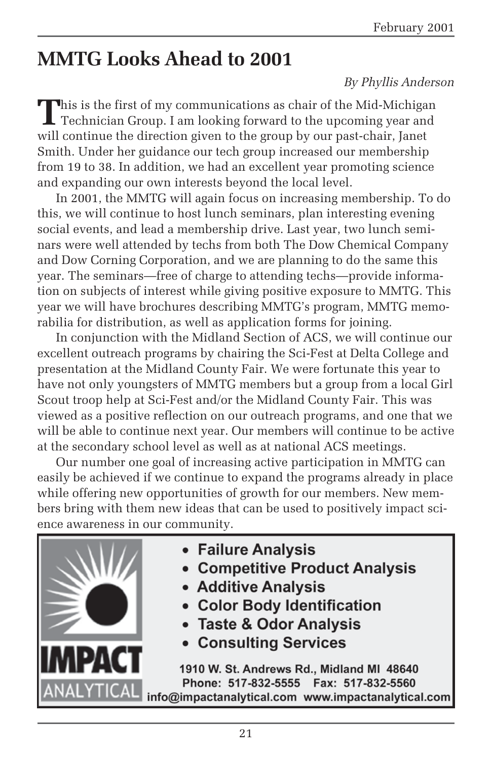# **MMTG Looks Ahead to 2001**

#### *By Phyllis Anderson*

**T**his is the first of my communications as chair of the Mid-Michigan Technician Group. I am looking forward to the upcoming year and will continue the direction given to the group by our past-chair, Janet Smith. Under her guidance our tech group increased our membership from 19 to 38. In addition, we had an excellent year promoting science and expanding our own interests beyond the local level.

In 2001, the MMTG will again focus on increasing membership. To do this, we will continue to host lunch seminars, plan interesting evening social events, and lead a membership drive. Last year, two lunch seminars were well attended by techs from both The Dow Chemical Company and Dow Corning Corporation, and we are planning to do the same this year. The seminars—free of charge to attending techs—provide information on subjects of interest while giving positive exposure to MMTG. This year we will have brochures describing MMTG's program, MMTG memorabilia for distribution, as well as application forms for joining.

In conjunction with the Midland Section of ACS, we will continue our excellent outreach programs by chairing the Sci-Fest at Delta College and presentation at the Midland County Fair. We were fortunate this year to have not only youngsters of MMTG members but a group from a local Girl Scout troop help at Sci-Fest and/or the Midland County Fair. This was viewed as a positive reflection on our outreach programs, and one that we will be able to continue next year. Our members will continue to be active at the secondary school level as well as at national ACS meetings.

Our number one goal of increasing active participation in MMTG can easily be achieved if we continue to expand the programs already in place while offering new opportunities of growth for our members. New members bring with them new ideas that can be used to positively impact science awareness in our community.